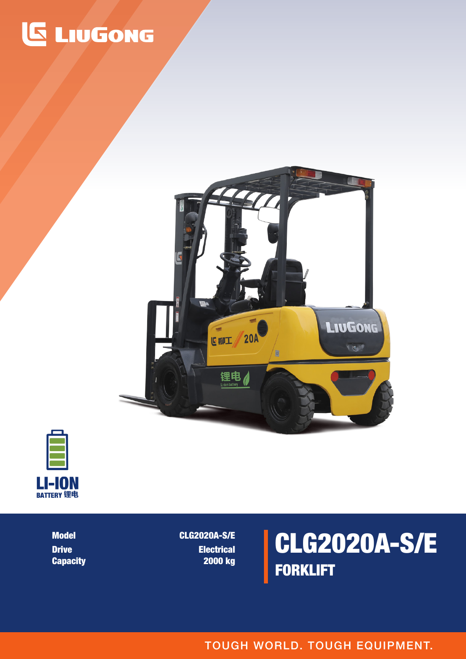## **LIUGONG**





CLG2020A-S/E FORKLIFT

CLG2020A-S/E **Electrical** 2000 kg

Model Drive **Capacity** 

TOUGH WORLD. TOUGH EQUIPMENT.